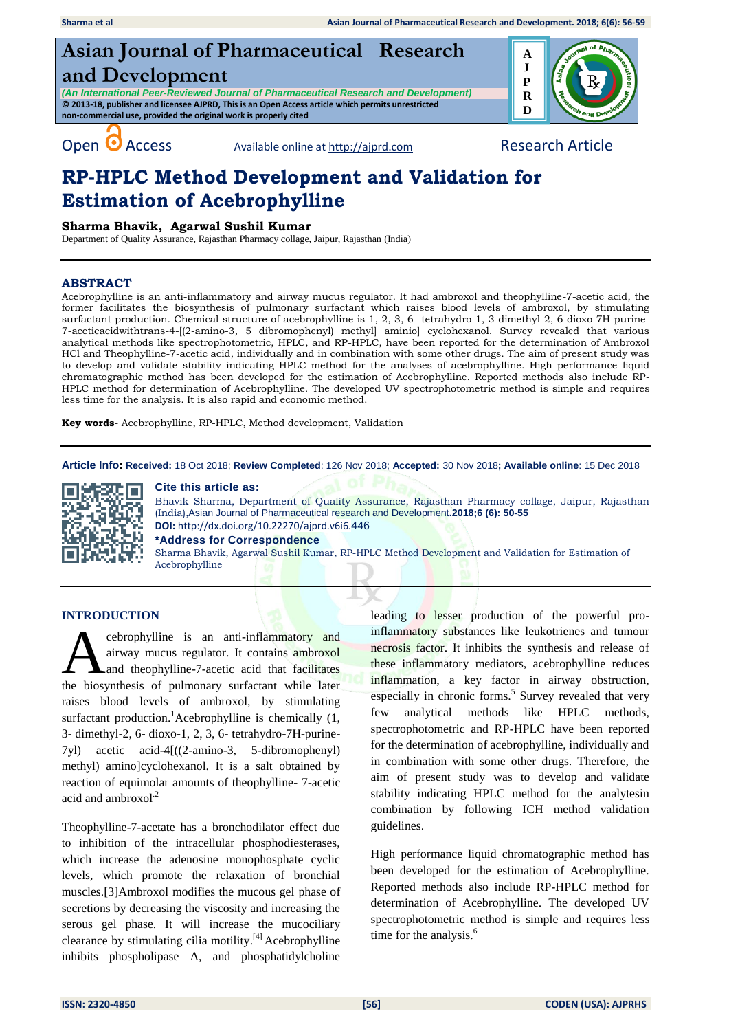# **Asian Journal of Pharmaceutical Research and Development**

*(An International Peer-Reviewed Journal of Pharmaceutical Research and Development)* **© 2013-18, publisher and licensee AJPRD, This is an Open Access article which permits unrestricted non-commercial use, provided the original work is properly cited**



# Open O Access Available online a[t http://ajprd.com](http://ajprd.com/) Research Article

# **RP-HPLC Method Development and Validation for Estimation of Acebrophylline**

# **Sharma Bhavik, Agarwal Sushil Kumar**

Department of Quality Assurance, Rajasthan Pharmacy collage, Jaipur, Rajasthan (India)

# **ABSTRACT**

Acebrophylline is an anti-inflammatory and airway mucus regulator. It had ambroxol and theophylline-7-acetic acid, the former facilitates the biosynthesis of pulmonary surfactant which raises blood levels of ambroxol, by stimulating surfactant production. Chemical structure of acebrophylline is 1, 2, 3, 6- tetrahydro-1, 3-dimethyl-2, 6-dioxo-7H-purine-7-aceticacidwithtrans-4-[(2-amino-3, 5 dibromophenyl) methyl] aminio] cyclohexanol. Survey revealed that various analytical methods like spectrophotometric, HPLC, and RP-HPLC, have been reported for the determination of Ambroxol HCl and Theophylline-7-acetic acid, individually and in combination with some other drugs. The aim of present study was to develop and validate stability indicating HPLC method for the analyses of acebrophylline. High performance liquid chromatographic method has been developed for the estimation of Acebrophylline. Reported methods also include RP-HPLC method for determination of Acebrophylline. The developed UV spectrophotometric method is simple and requires less time for the analysis. It is also rapid and economic method.

**Key words**- Acebrophylline, RP-HPLC, Method development, Validation

**Article Info: Received:** 18 Oct 2018; **Review Completed**: 126 Nov 2018; **Accepted:** 30 Nov 2018**; Available online**: 15 Dec 2018

# **Cite this article as:**

Acebrophylline



Bhavik Sharma, Department of Quality Assurance, Rajasthan Pharmacy collage, Jaipur, Rajasthan (India),Asian Journal of Pharmaceutical research and Development**.2018;6 (6): 50-55 DOI:** [http://dx.doi.org/10.22270/ajprd.v6i6.](http://dx.doi.org/10.22270/ajprd.v6i6.446)446

**\*Address for Correspondence**  Sharma Bhavik, Agarwal Sushil Kumar, RP-HPLC Method Development and Validation for Estimation of

### **INTRODUCTION**

cebrophylline is an anti-inflammatory and airway mucus regulator. It contains ambroxol and theophylline-7-acetic acid that facilitates the biosynthesis of pulmonary surfactant while later raises blood levels of ambroxol, by stimulating surfactant production.<sup>1</sup>Acebrophylline is chemically  $(1,$ 3- dimethyl-2, 6- dioxo-1, 2, 3, 6- tetrahydro-7H-purine-7yl) acetic acid-4[((2-amino-3, 5-dibromophenyl) methyl) amino]cyclohexanol. It is a salt obtained by reaction of equimolar amounts of theophylline- 7-acetic acid and ambroxol.2 A

Theophylline-7-acetate has a bronchodilator effect due to inhibition of the intracellular phosphodiesterases, which increase the adenosine monophosphate cyclic levels, which promote the relaxation of bronchial muscles.[3]Ambroxol modifies the mucous gel phase of secretions by decreasing the viscosity and increasing the serous gel phase. It will increase the mucociliary clearance by stimulating cilia motility.<sup>[4]</sup> Acebrophylline inhibits phospholipase A, and phosphatidylcholine

leading to lesser production of the powerful proinflammatory substances like leukotrienes and tumour necrosis factor. It inhibits the synthesis and release of these inflammatory mediators, acebrophylline reduces inflammation, a key factor in airway obstruction, especially in chronic forms.<sup>5</sup> Survey revealed that very few analytical methods like HPLC methods, spectrophotometric and RP-HPLC have been reported for the determination of acebrophylline, individually and in combination with some other drugs. Therefore, the aim of present study was to develop and validate stability indicating HPLC method for the analytesin combination by following ICH method validation guidelines.

High performance liquid chromatographic method has been developed for the estimation of Acebrophylline. Reported methods also include RP-HPLC method for determination of Acebrophylline. The developed UV spectrophotometric method is simple and requires less time for the analysis.<sup>6</sup>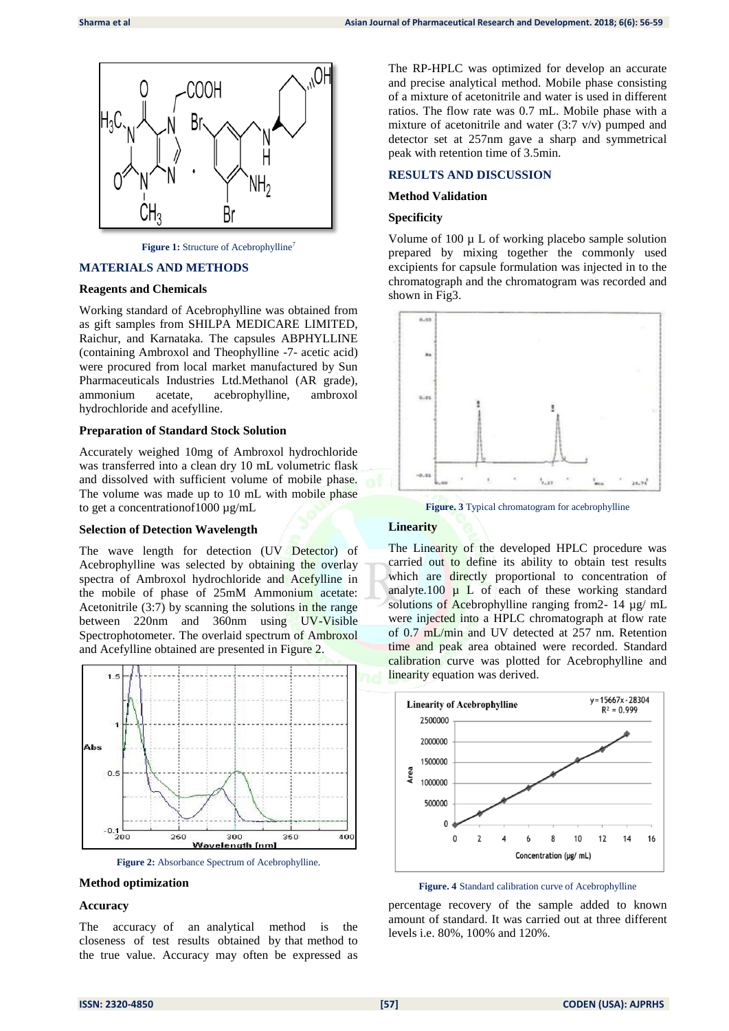



#### **MATERIALS AND METHODS**

#### **Reagents and Chemicals**

Working standard of Acebrophylline was obtained from as gift samples from SHILPA MEDICARE LIMITED, Raichur, and Karnataka. The capsules ABPHYLLINE (containing Ambroxol and Theophylline -7- acetic acid) were procured from local market manufactured by Sun Pharmaceuticals Industries Ltd.Methanol (AR grade), ammonium acetate, acebrophylline, ambroxol hydrochloride and acefylline.

#### **Preparation of Standard Stock Solution**

Accurately weighed 10mg of Ambroxol hydrochloride was transferred into a clean dry 10 mL volumetric flask and dissolved with sufficient volume of mobile phase. The volume was made up to 10 mL with mobile phase to get a concentrationof1000 µg/mL

#### **Selection of Detection Wavelength**

The wave length for detection (UV Detector) of Acebrophylline was selected by obtaining the overlay spectra of Ambroxol hydrochloride and Acefylline in the mobile of phase of 25mM Ammonium acetate: Acetonitrile (3:7) by scanning the solutions in the range between 220nm and 360nm using UV-Visible Spectrophotometer. The overlaid spectrum of Ambroxol and Acefylline obtained are presented in Figure 2.



**Figure 2:** Absorbance Spectrum of Acebrophylline.

### **Method optimization**

#### **Accuracy**

The accuracy of an analytical method is the closeness of test results obtained by that method to the true value. Accuracy may often be expressed as

The RP-HPLC was optimized for develop an accurate and precise analytical method. Mobile phase consisting of a mixture of acetonitrile and water is used in different ratios. The flow rate was 0.7 mL. Mobile phase with a mixture of acetonitrile and water (3:7 v/v) pumped and detector set at 257nm gave a sharp and symmetrical peak with retention time of 3.5min.

#### **RESULTS AND DISCUSSION**

#### **Method Validation**

#### **Specificity**

Volume of 100 µ L of working placebo sample solution prepared by mixing together the commonly used excipients for capsule formulation was injected in to the chromatograph and the chromatogram was recorded and shown in Fig3.



**Figure. 3** Typical chromatogram for acebrophylline

#### **Linearity**

The Linearity of the developed HPLC procedure was carried out to define its ability to obtain test results which are directly proportional to concentration of analyte.100  $\mu$  L of each of these working standard solutions of Acebrophylline ranging from 2- 14 µg/ mL were injected into a HPLC chromatograph at flow rate of 0.7 mL/min and UV detected at 257 nm. Retention time and peak area obtained were recorded. Standard calibration curve was plotted for Acebrophylline and linearity equation was derived.



**Figure. 4** Standard calibration curve of Acebrophylline

percentage recovery of the sample added to known amount of standard. It was carried out at three different levels i.e. 80%, 100% and 120%.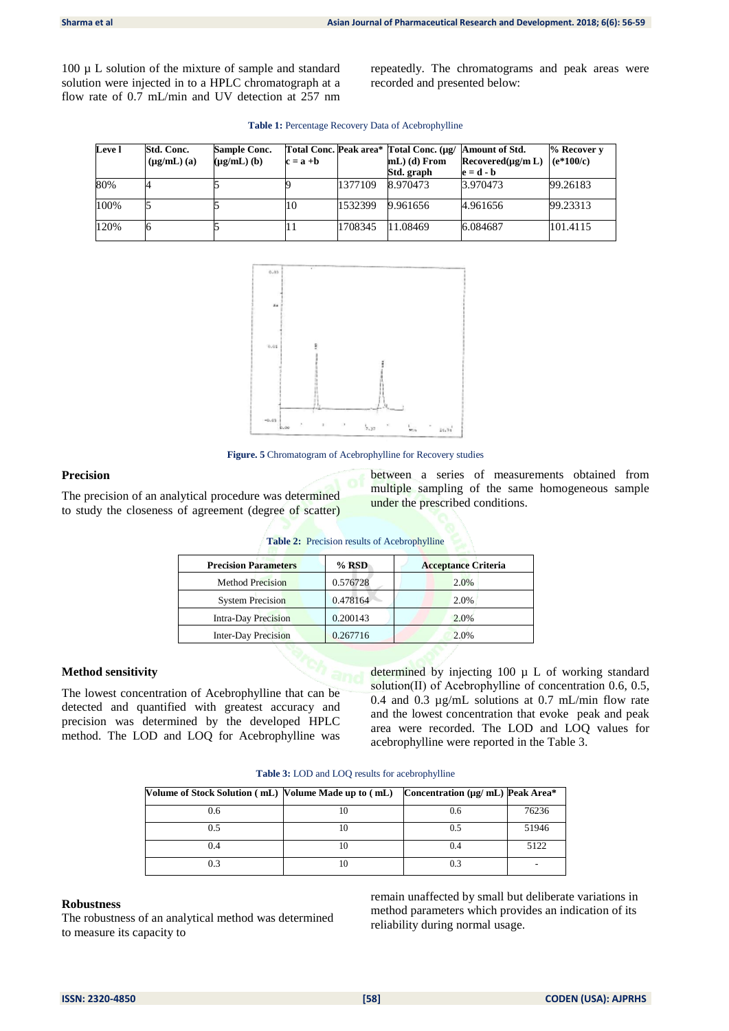100 µ L solution of the mixture of sample and standard solution were injected in to a HPLC chromatograph at a flow rate of 0.7 mL/min and UV detection at 257 nm repeatedly. The chromatograms and peak areas were recorded and presented below:

| Leve 1 | Std. Conc.<br>$(\mu g/mL)$ (a) | <b>Sample Conc.</b><br>$(\mu g/mL)$ (b) | $c = a + b$ |         | Total Conc. Peak area* Total Conc. (µg/<br>$mL$ ) (d) From | Amount of Std.<br>$Recovered(\mu g/m L)$ | % Recover y<br>$(e*100/c)$ |
|--------|--------------------------------|-----------------------------------------|-------------|---------|------------------------------------------------------------|------------------------------------------|----------------------------|
|        |                                |                                         |             |         | Std. graph                                                 | $\mathbf{e} = \mathbf{d} - \mathbf{b}$   |                            |
| 80%    |                                |                                         |             | 1377109 | 8.970473                                                   | 3.970473                                 | 99.26183                   |
| 100%   |                                |                                         | 10          | 1532399 | 9.961656                                                   | 4.961656                                 | 99.23313                   |
| 120%   |                                |                                         | 11          | 1708345 | 11.08469                                                   | 6.084687                                 | 101.4115                   |

**Table 1:** Percentage Recovery Data of Acebrophylline



**Figure. 5** Chromatogram of Acebrophylline for Recovery studies

#### **Precision**

The precision of an analytical procedure was determined to study the closeness of agreement (degree of scatter) between a series of measurements obtained from multiple sampling of the same homogeneous sample under the prescribed conditions.

| <b>Precision Parameters</b> | $%$ RSD  |                            |
|-----------------------------|----------|----------------------------|
|                             |          | <b>Acceptance Criteria</b> |
| <b>Method Precision</b>     | 0.576728 | 2.0%                       |
| <b>System Precision</b>     | 0.478164 | 2.0%                       |
| <b>Intra-Day Precision</b>  | 0.200143 | 2.0%                       |
| <b>Inter-Day Precision</b>  | 0.267716 | 2.0%                       |

**Table 2:** Precision results of Acebrophylline

#### **Method sensitivity**

The lowest concentration of Acebrophylline that can be detected and quantified with greatest accuracy and precision was determined by the developed HPLC method. The LOD and LOQ for Acebrophylline was determined by injecting 100 µ L of working standard solution(ΙΙ) of Acebrophylline of concentration 0.6, 0.5, 0.4 and 0.3 µg/mL solutions at 0.7 mL/min flow rate and the lowest concentration that evoke peak and peak area were recorded. The LOD and LOQ values for acebrophylline were reported in the Table 3.

**Table 3:** LOD and LOQ results for acebrophylline

| Volume of Stock Solution (mL) Volume Made up to (mL) | Concentration (µg/ mL) Peak Area* |       |
|------------------------------------------------------|-----------------------------------|-------|
| 0.6                                                  | 0.6                               | 76236 |
| 0.5                                                  | 0.5                               | 51946 |
| 0.4                                                  |                                   | 5122  |
| 0.3                                                  |                                   |       |

#### **Robustness**

The robustness of an analytical method was determined to measure its capacity to

remain unaffected by small but deliberate variations in method parameters which provides an indication of its reliability during normal usage.